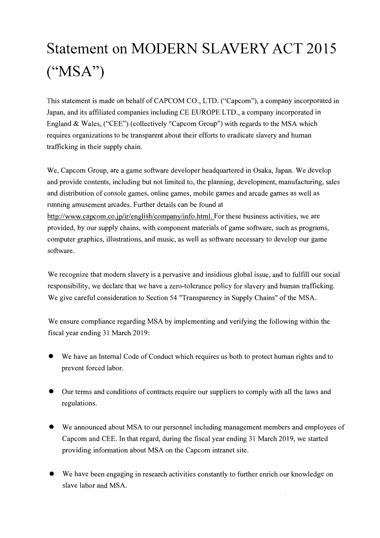## **Statement on MODERN SLAVERY ACT 2015**  $(^{\circ}MSA^{\prime\prime})$

This statement is made on behalf of CAPCOM CO., LTD. ("Capcom"), a company incorporated in Japan, and its affiliated companies including CE EUROPE LTD., a company incorporated in England & Wales, ("CEE") (collectively "Capcom Group") with regards to the MSA which requires organizations to be transparent about their efforts to eradicate slavery and human trafficking in their supply chain.

We, Capcom Group, are a game software developer headquartered in Osaka, Japan. We develop and provide contents, including but not limited to, the planning, development, manufacturing, sales and distribution of console games, online games, mobile games and arcade games as well as running amusement arcades. Further details can be found at http://www.capcom.co.jp/ir/english/company/info.html. For these business activities, we are provided, by our supply chains, with component materials of game software, such as programs, computer graphics, illustrations, and music, as well as software necessary to develop our game software.

We recognize that modern slavery is a pervasive and insidious global issue, and to fulfill our social responsibility, we declare that we have a zero-tolerance policy for slavery and human trafficking. We give careful consideration to Section 54 "Transparency in Supply Chains" of the MSA.

We ensure compliance regarding MSA by implementing and verifying the following within the fiscal year ending 31 March 2019:

- We have an Internal Code of Conduct which requires us both to protect human rights and to prevent forced labor.
- Our terms and conditions of contracts require our suppliers to comply with all the laws and regulations.
- We announced about MSA to our personnel including management members and employees of Capcom and CEE. In that regard, during the fiscal year ending 31 March 2019, we started providing information about MSA on the Capcom intranet site.
- We have been engaging in research activities constantly to further enrich our knowledge on slave labor and MSA.